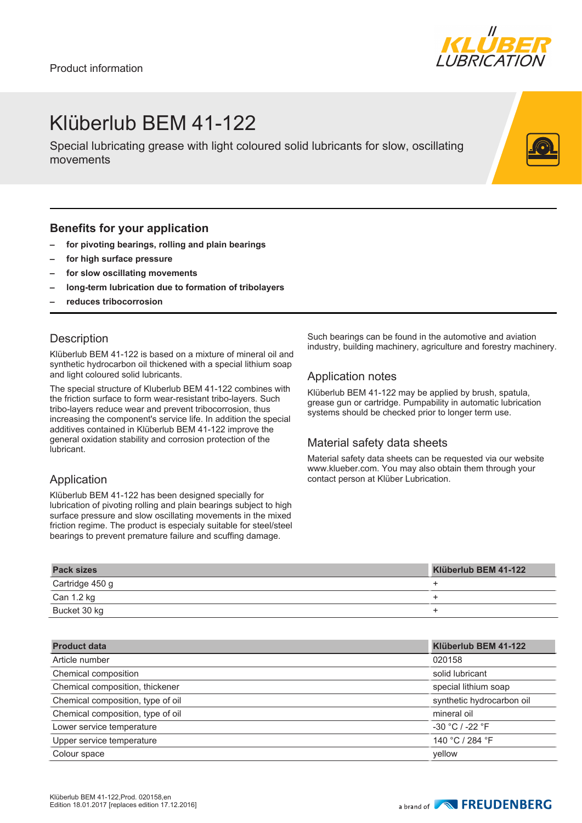

# Klüberlub BEM 41-122

Special lubricating grease with light coloured solid lubricants for slow, oscillating movements

## **Benefits for your application**

- **– for pivoting bearings, rolling and plain bearings**
- **– for high surface pressure**
- **– for slow oscillating movements**
- **– long-term lubrication due to formation of tribolayers**
- **– reduces tribocorrosion**

## **Description**

Klüberlub BEM 41-122 is based on a mixture of mineral oil and synthetic hydrocarbon oil thickened with a special lithium soap and light coloured solid lubricants.

The special structure of Kluberlub BEM 41-122 combines with the friction surface to form wear-resistant tribo-layers. Such tribo-layers reduce wear and prevent tribocorrosion, thus increasing the component's service life. In addition the special additives contained in Klüberlub BEM 41-122 improve the general oxidation stability and corrosion protection of the lubricant.

#### Application

Klüberlub BEM 41-122 has been designed specially for lubrication of pivoting rolling and plain bearings subject to high surface pressure and slow oscillating movements in the mixed friction regime. The product is especialy suitable for steel/steel bearings to prevent premature failure and scuffing damage.

Such bearings can be found in the automotive and aviation industry, building machinery, agriculture and forestry machinery.

## Application notes

Klüberlub BEM 41-122 may be applied by brush, spatula, grease gun or cartridge. Pumpability in automatic lubrication systems should be checked prior to longer term use.

#### Material safety data sheets

Material safety data sheets can be requested via our website www.klueber.com. You may also obtain them through your contact person at Klüber Lubrication.

| <b>Pack sizes</b> | Klüberlub BEM 41-122 |
|-------------------|----------------------|
| Cartridge 450 g   |                      |
| Can 1.2 kg        |                      |
| Bucket 30 kg      |                      |

| <b>Product data</b>               | Klüberlub BEM 41-122      |
|-----------------------------------|---------------------------|
| Article number                    | 020158                    |
| Chemical composition              | solid lubricant           |
| Chemical composition, thickener   | special lithium soap      |
| Chemical composition, type of oil | synthetic hydrocarbon oil |
| Chemical composition, type of oil | mineral oil               |
| Lower service temperature         | $-30 °C$ / $-22 °F$       |
| Upper service temperature         | 140 °C / 284 °F           |
| Colour space                      | vellow                    |